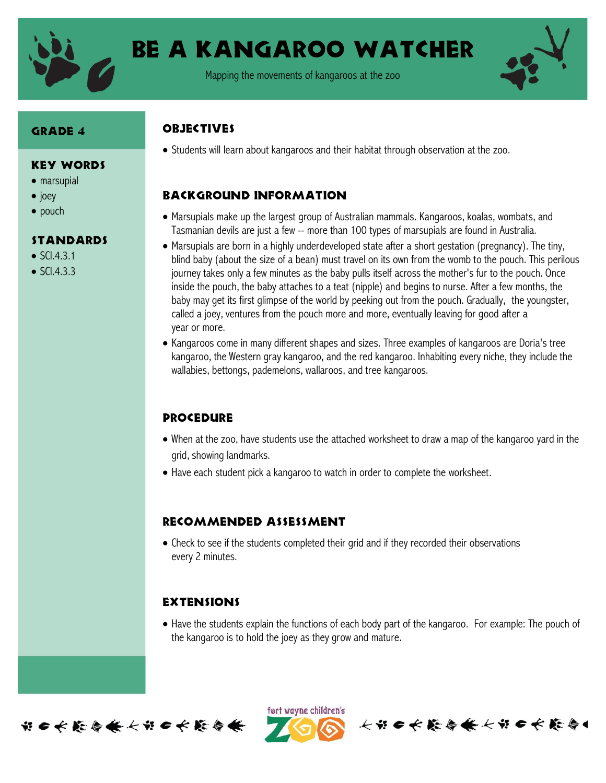

# Be a Kangaroo Watcher

Mapping the movements of kangaroos at the zoo



#### Grade 4

#### Key Words

- marsupial
- $\bullet$  joey
- pouch

#### **STANDARDS**

- $\bullet$  SCI.4.3.1
- $\bullet$  SCI.4.3.3

#### **OBJECTIVES**

Students will learn about kangaroos and their habitat through observation at the zoo.

## Background information

- Marsupials make up the largest group of Australian mammals. Kangaroos, koalas, wombats, and Tasmanian devils are just a few -- more than 100 types of marsupials are found in Australia.
- Marsupials are born in a highly underdeveloped state after a short gestation (pregnancy). The tiny, blind baby (about the size of a bean) must travel on its own from the womb to the pouch. This perilous journey takes only a few minutes as the baby pulls itself across the mother's fur to the pouch. Once inside the pouch, the baby attaches to a teat (nipple) and begins to nurse. After a few months, the baby may get its first glimpse of the world by peeking out from the pouch. Gradually, the youngster, called a joey, ventures from the pouch more and more, eventually leaving for good after a year or more.
- Kangaroos come in many different shapes and sizes. Three examples of kangaroos are Doria's tree kangaroo, the Western gray kangaroo, and the red kangaroo. Inhabiting every niche, they include the wallabies, bettongs, pademelons, wallaroos, and tree kangaroos.

### **PROCEDURE**

- When at the zoo, have students use the attached worksheet to draw a map of the kangaroo yard in the grid, showing landmarks.
- Have each student pick a kangaroo to watch in order to complete the worksheet.

### Recommended assessment

 Check to see if the students completed their grid and if they recorded their observations every 2 minutes.

### **EXTENSIONS**

• Have the students explain the functions of each body part of the kangaroo. For example: The pouch of the kangaroo is to hold the joey as they grow and mature.



ført wayne children's 长节日长能与长长节日长能与